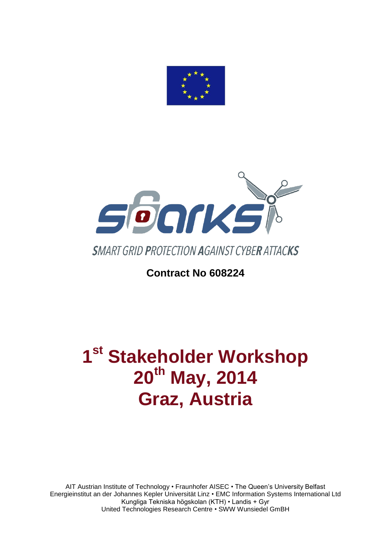



# **Contract No 608224**

# **1 st Stakeholder Workshop 20th May, 2014 Graz, Austria**

AIT Austrian Institute of Technology • Fraunhofer AISEC • The Queen's University Belfast Energieinstitut an der Johannes Kepler Universität Linz • EMC Information Systems International Ltd Kungliga Tekniska högskolan (KTH) • Landis + Gyr United Technologies Research Centre • SWW Wunsiedel GmBH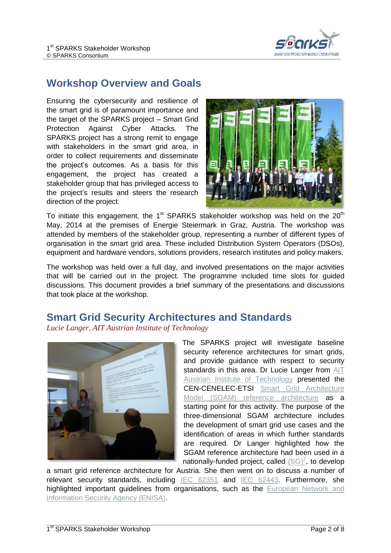

#### **Workshop Overview and Goals**

Ensuring the cybersecurity and resilience of the smart grid is of paramount importance and the target of the SPARKS project – Smart Grid Protection Against Cyber Attacks. The SPARKS project has a strong remit to engage with stakeholders in the smart grid area, in order to collect requirements and disseminate the project's outcomes. As a basis for this engagement, the project has created a stakeholder group that has privileged access to the project's results and steers the research direction of the project.



To initiate this engagement, the 1<sup>st</sup> SPARKS stakeholder workshop was held on the 20<sup>th</sup> May, 2014 at the premises of Energie Steiermark in Graz, Austria. The workshop was attended by members of the stakeholder group, representing a number of different types of organisation in the smart grid area. These included Distribution System Operators (DSOs), equipment and hardware vendors, solutions providers, research institutes and policy makers.

The workshop was held over a full day, and involved presentations on the major activities that will be carried out in the project. The programme included time slots for guided discussions. This document provides a brief summary of the presentations and discussions that took place at the workshop.

#### **Smart Grid Security Architectures and Standards**

*Lucie Langer, AIT Austrian Institute of Technology*



The SPARKS project will investigate baseline security reference architectures for smart grids, and provide guidance with respect to security standards in this area. Dr Lucie Langer from AIT [Austrian Institute of Technology](http://www.ait.ac.at/) presented the CEN-CENELEC-ETSI [Smart Grid Architecture](http://ec.europa.eu/energy/gas_electricity/smartgrids/doc/xpert_group1_reference_architecture.pdf)  [Model \(SGAM\) reference architecture](http://ec.europa.eu/energy/gas_electricity/smartgrids/doc/xpert_group1_reference_architecture.pdf) as a starting point for this activity. The purpose of the three-dimensional SGAM architecture includes the development of smart grid use cases and the identification of areas in which further standards are required. Dr Langer highlighted how the SGAM reference architecture had been used in a nationally-funded project, called  $(SG)^2$ , to develop

a smart grid reference architecture for Austria. She then went on to discuss a number of relevant security standards, including [IEC 62351](http://www.iec.ch/smartgrid/standards/) and [IEC 62443.](https://en.wikipedia.org/wiki/Cyber_security_standards#ISA.2FIEC-62443_.28Formerly_ISA-99.29) Furthermore, she highlighted important guidelines from organisations, such as the European Network and [Information Security Agency \(ENISA\).](http://www.enisa.europa.eu/)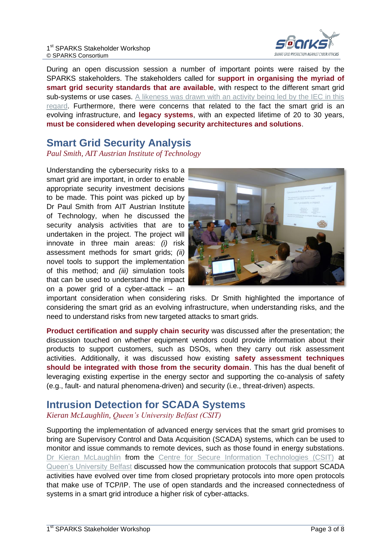

During an open discussion session a number of important points were raised by the SPARKS stakeholders. The stakeholders called for **support in organising the myriad of smart grid security standards that are available**, with respect to the different smart grid sub-systems or use cases. A likeness was drawn with an activity being led by the IEC in this [regard.](http://smartgridstandardsmap.com/) Furthermore, there were concerns that related to the fact the smart grid is an evolving infrastructure, and **legacy systems**, with an expected lifetime of 20 to 30 years, **must be considered when developing security architectures and solutions**.

#### **Smart Grid Security Analysis**

*Paul Smith, AIT Austrian Institute of Technology*

Understanding the cybersecurity risks to a smart grid are important, in order to enable appropriate security investment decisions to be made. This point was picked up by Dr Paul Smith from AIT Austrian Institute of Technology, when he discussed the security analysis activities that are to undertaken in the project. The project will innovate in three main areas: *(i)* risk assessment methods for smart grids; *(ii)* novel tools to support the implementation of this method; and *(iii)* simulation tools that can be used to understand the impact on a power grid of a cyber-attack – an



important consideration when considering risks. Dr Smith highlighted the importance of considering the smart grid as an evolving infrastructure, when understanding risks, and the need to understand risks from new targeted attacks to smart grids.

**Product certification and supply chain security** was discussed after the presentation; the discussion touched on whether equipment vendors could provide information about their products to support customers, such as DSOs, when they carry out risk assessment activities. Additionally, it was discussed how existing **safety assessment techniques should be integrated with those from the security domain**. This has the dual benefit of leveraging existing expertise in the energy sector and supporting the co-analysis of safety (e.g., fault- and natural phenomena-driven) and security (i.e., threat-driven) aspects.

## **Intrusion Detection for SCADA Systems**

#### *Kieran McLaughlin, Queen's University Belfast (CSIT)*

Supporting the implementation of advanced energy services that the smart grid promises to bring are Supervisory Control and Data Acquisition (SCADA) systems, which can be used to monitor and issue commands to remote devices, such as those found in energy substations. [Dr Kieran McLaughlin](http://www.ecit.qub.ac.uk/Aboutus/BusinessCard/?name=Kieran.McLaughlin) from the [Centre for Secure Information Technologies \(CSIT\)](http://www.csit.qub.ac.uk/) at [Queen's University Belfast](http://www.qub.ac.uk/) discussed how the communication protocols that support SCADA activities have evolved over time from closed proprietary protocols into more open protocols that make use of TCP/IP. The use of open standards and the increased connectedness of systems in a smart grid introduce a higher risk of cyber-attacks.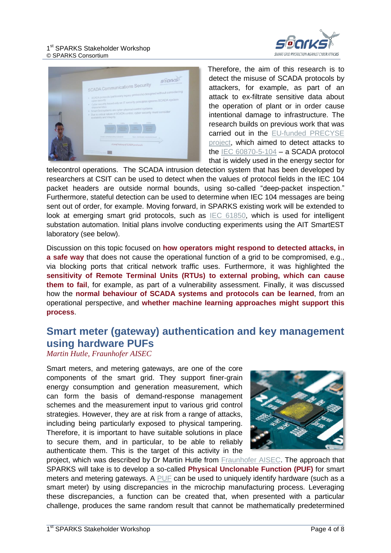

| <b>Searve</b><br><b>SCADA Communications Security</b><br>· SCADA protocols (particularly legacy protocols) designed without considering<br>- Cyber security based only on IT security principles ignores SCADA system<br>characteristics<br>· Smart Grid systems are cyber-physical control systems<br>. Due to critical nature of SCADA control, cyber security must consider<br>availability and integrity |
|--------------------------------------------------------------------------------------------------------------------------------------------------------------------------------------------------------------------------------------------------------------------------------------------------------------------------------------------------------------------------------------------------------------|
| 2000s<br>19506<br>19856<br>19704<br>-<br><b>Statement</b><br><b>Production</b><br>District continuities withhed standards.<br>Open shareholed standards beaut-<br>A brief history of SCADA protocols                                                                                                                                                                                                         |

Therefore, the aim of this research is to detect the misuse of SCADA protocols by attackers, for example, as part of an attack to ex-filtrate sensitive data about the operation of plant or in order cause intentional damage to infrastructure. The research builds on previous work that was carried out in the [EU-funded PRECYSE](https://precyse.eu/)  [project,](https://precyse.eu/) which aimed to detect attacks to the [IEC 60870-5-104](http://webstore.iec.ch/Webstore/webstore.nsf/ArtNum_PK/36203!opendocument&preview=1) – a SCADA protocol that is widely used in the energy sector for

telecontrol operations. The SCADA intrusion detection system that has been developed by researchers at CSIT can be used to detect when the values of protocol fields in the IEC 104 packet headers are outside normal bounds, using so-called "deep-packet inspection." Furthermore, stateful detection can be used to determine when IEC 104 messages are being sent out of order, for example. Moving forward, in SPARKS existing work will be extended to look at emerging smart grid protocols, such as [IEC 61850,](http://www.iec.ch/smartgrid/standards/) which is used for intelligent substation automation. Initial plans involve conducting experiments using the AIT SmartEST laboratory (see below).

Discussion on this topic focused on **how operators might respond to detected attacks, in a safe way** that does not cause the operational function of a grid to be compromised, e.g., via blocking ports that critical network traffic uses. Furthermore, it was highlighted the **sensitivity of Remote Terminal Units (RTUs) to external probing, which can cause them to fail**, for example, as part of a vulnerability assessment. Finally, it was discussed how the **normal behaviour of SCADA systems and protocols can be learned**, from an operational perspective, and **whether machine learning approaches might support this process**.

### **Smart meter (gateway) authentication and key management using hardware PUFs**

#### *Martin Hutle, Fraunhofer AISEC*

Smart meters, and metering gateways, are one of the core components of the smart grid. They support finer-grain energy consumption and generation measurement, which can form the basis of demand-response management schemes and the measurement input to various grid control strategies. However, they are at risk from a range of attacks, including being particularly exposed to physical tampering. Therefore, it is important to have suitable solutions in place to secure them, and in particular, to be able to reliably authenticate them. This is the target of this activity in the



project, which was described by Dr Martin Hutle from [Fraunhofer AISEC.](http://www.aisec.fraunhofer.de/) The approach that SPARKS will take is to develop a so-called **Physical Unclonable Function (PUF)** for smart meters and metering gateways. A [PUF](https://en.wikipedia.org/wiki/Physical_unclonable_function) can be used to uniquely identify hardware (such as a smart meter) by using discrepancies in the microchip manufacturing process. Leveraging these discrepancies, a function can be created that, when presented with a particular challenge, produces the same random result that cannot be mathematically predetermined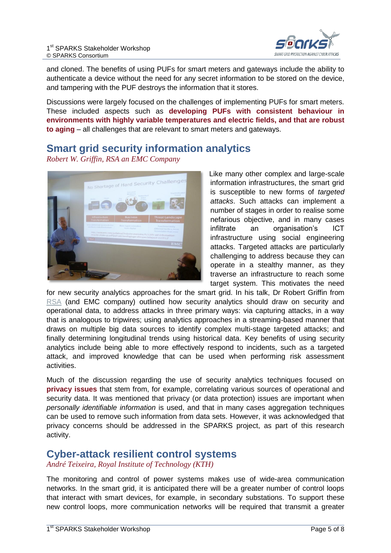

and cloned. The benefits of using PUFs for smart meters and gateways include the ability to authenticate a device without the need for any secret information to be stored on the device, and tampering with the PUF destroys the information that it stores.

Discussions were largely focused on the challenges of implementing PUFs for smart meters. These included aspects such as **developing PUFs with consistent behaviour in environments with highly variable temperatures and electric fields, and that are robust to aging** – all challenges that are relevant to smart meters and gateways.

### **Smart grid security information analytics**

*Robert W. Griffin, RSA an EMC Company*



Like many other complex and large-scale information infrastructures, the smart grid is susceptible to new forms of *targeted attacks*. Such attacks can implement a number of stages in order to realise some nefarious objective, and in many cases infiltrate an organisation's ICT infrastructure using social engineering attacks. Targeted attacks are particularly challenging to address because they can operate in a stealthy manner, as they traverse an infrastructure to reach some target system. This motivates the need

for new security analytics approaches for the smart grid. In his talk, Dr Robert Griffin from [RSA](http://www.emc.com/domains/rsa/index.htm) (and EMC company) outlined how security analytics should draw on security and operational data, to address attacks in three primary ways: via capturing attacks, in a way that is analogous to tripwires; using analytics approaches in a streaming-based manner that draws on multiple big data sources to identify complex multi-stage targeted attacks; and finally determining longitudinal trends using historical data. Key benefits of using security analytics include being able to more effectively respond to incidents, such as a targeted attack, and improved knowledge that can be used when performing risk assessment activities.

Much of the discussion regarding the use of security analytics techniques focused on **privacy issues** that stem from, for example, correlating various sources of operational and security data. It was mentioned that privacy (or data protection) issues are important when *personally identifiable information* is used, and that in many cases aggregation techniques can be used to remove such information from data sets. However, it was acknowledged that privacy concerns should be addressed in the SPARKS project, as part of this research activity.

#### **Cyber-attack resilient control systems**

*André Teixeira, Royal Institute of Technology (KTH)*

The monitoring and control of power systems makes use of wide-area communication networks. In the smart grid, it is anticipated there will be a greater number of control loops that interact with smart devices, for example, in secondary substations. To support these new control loops, more communication networks will be required that transmit a greater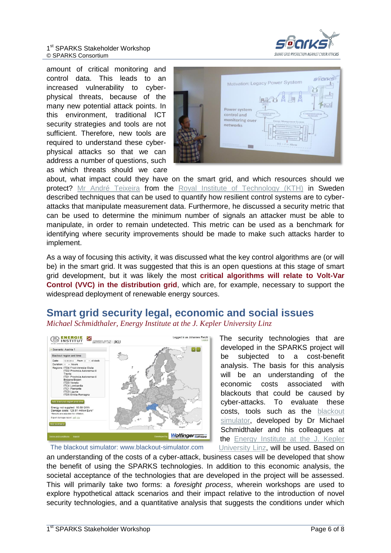

amount of critical monitoring and control data. This leads to an increased vulnerability to cyberphysical threats, because of the many new potential attack points. In this environment, traditional ICT security strategies and tools are not sufficient. Therefore, new tools are required to understand these cyberphysical attacks so that we can address a number of questions, such as which threats should we care

| <b>SSONS</b><br>Motivation: Legacy Power System<br><b>RTU</b><br>$\overline{H}$<br><b>RTU</b><br>Power system<br>Communication<br>Communication<br>control and<br>Network<br>Network<br>monitoring over<br>Energy Management System<br>networks<br>Optimal Power Flow<br>12.<br>Contingency Analysis<br>$\overline{u}$<br><b>Bad Data Detector</b><br>$> \delta \Rightarrow$ Alarm<br>------<br><b>SCOVIETA</b> |
|-----------------------------------------------------------------------------------------------------------------------------------------------------------------------------------------------------------------------------------------------------------------------------------------------------------------------------------------------------------------------------------------------------------------|
|-----------------------------------------------------------------------------------------------------------------------------------------------------------------------------------------------------------------------------------------------------------------------------------------------------------------------------------------------------------------------------------------------------------------|

about, what impact could they have on the smart grid, and which resources should we protect? [Mr André Teixeira](http://people.kth.se/~andretei/) from the [Royal Institute of Technology \(KTH\)](http://www.kth.se/) in Sweden described techniques that can be used to quantify how resilient control systems are to cyberattacks that manipulate measurement data. Furthermore, he discussed a security metric that can be used to determine the minimum number of signals an attacker must be able to manipulate, in order to remain undetected. This metric can be used as a benchmark for identifying where security improvements should be made to make such attacks harder to implement.

As a way of focusing this activity, it was discussed what the key control algorithms are (or will be) in the smart grid. It was suggested that this is an open questions at this stage of smart grid development, but it was likely the most **critical algorithms will relate to Volt-Var Control (VVC) in the distribution grid**, which are, for example, necessary to support the widespread deployment of renewable energy sources.

#### **Smart grid security legal, economic and social issues** *Michael Schmidthaler, Energy Institute at the J. Kepler University Linz*



The security technologies that are developed in the SPARKS project will be subjected to a cost-benefit analysis. The basis for this analysis will be an understanding of the economic costs associated with blackouts that could be caused by cyber-attacks. To evaluate these costs, tools such as the [blackout](http://www.blackout-simulator.com/)  [simulator,](http://www.blackout-simulator.com/) developed by Dr Michael Schmidthaler and his colleagues at the [Energy Institute at the J. Kepler](http://www.energieinstitut-linz.at/)  [University Linz,](http://www.energieinstitut-linz.at/) will be used. Based on

The blackout simulator: www.blackout-simulator.com

an understanding of the costs of a cyber-attack, business cases will be developed that show the benefit of using the SPARKS technologies. In addition to this economic analysis, the societal acceptance of the technologies that are developed in the project will be assessed. This will primarily take two forms: a *foresight process*, wherein workshops are used to explore hypothetical attack scenarios and their impact relative to the introduction of novel security technologies, and a quantitative analysis that suggests the conditions under which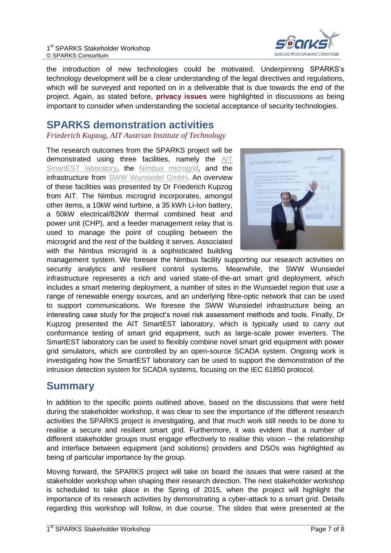

the introduction of new technologies could be motivated. Underpinning SPARKS's technology development will be a clear understanding of the legal directives and regulations, which will be surveyed and reported on in a deliverable that is due towards the end of the project. Again, as stated before, **privacy issues** were highlighted in discussions as being important to consider when understanding the societal acceptance of security technologies.

#### **SPARKS demonstration activities**

*Friederich Kupzog, AIT Austrian Institute of Technology*

The research outcomes from the SPARKS project will be demonstrated using three facilities, namely the AIT [SmartEST laboratory,](http://www.ait.ac.at/departments/energy/research-areas/energy-infrastructure/smart-grids/smartest-laboratory/) the [Nimbus microgrid,](http://nimbus.cit.ie/tec/) and the infrastructure from [SWW Wunsiedel GmbH.](http://www.s-w-w.com/) An overview of these facilities was presented by Dr Friederich Kupzog from AIT. The Nimbus microgrid incorporates, amongst other items, a 10kW wind turbine, a 35 kWh Li-Ion battery, a 50kW electrical/82kW thermal combined heat and power unit (CHP), and a feeder management relay that is used to manage the point of coupling between the microgrid and the rest of the building it serves. Associated with the Nimbus microgrid is a sophisticated building



management system. We foresee the Nimbus facility supporting our research activities on security analytics and resilient control systems. Meanwhile, the SWW Wunsiedel infrastructure represents a rich and varied state-of-the-art smart grid deployment, which includes a smart metering deployment, a number of sites in the Wunsiedel region that use a range of renewable energy sources, and an underlying fibre-optic network that can be used to support communications. We foresee the SWW Wunsiedel infrastructure being an interesting case study for the project's novel risk assessment methods and tools. Finally, Dr Kupzog presented the AIT SmartEST laboratory, which is typically used to carry out conformance testing of smart grid equipment, such as large-scale power inverters. The SmartEST laboratory can be used to flexibly combine novel smart grid equipment with power grid simulators, which are controlled by an open-source SCADA system. Ongoing work is investigating how the SmartEST laboratory can be used to support the demonstration of the intrusion detection system for SCADA systems, focusing on the IEC 61850 protocol.

#### **Summary**

In addition to the specific points outlined above, based on the discussions that were held during the stakeholder workshop, it was clear to see the importance of the different research activities the SPARKS project is investigating, and that much work still needs to be done to realise a secure and resilient smart grid. Furthermore, it was evident that a number of different stakeholder groups must engage effectively to realise this vision – the relationship and interface between equipment (and solutions) providers and DSOs was highlighted as being of particular importance by the group.

Moving forward, the SPARKS project will take on board the issues that were raised at the stakeholder workshop when shaping their research direction. The next stakeholder workshop is scheduled to take place in the Spring of 2015, when the project will highlight the importance of its research activities by demonstrating a cyber-attack to a smart grid. Details regarding this workshop will follow, in due course. The slides that were presented at the